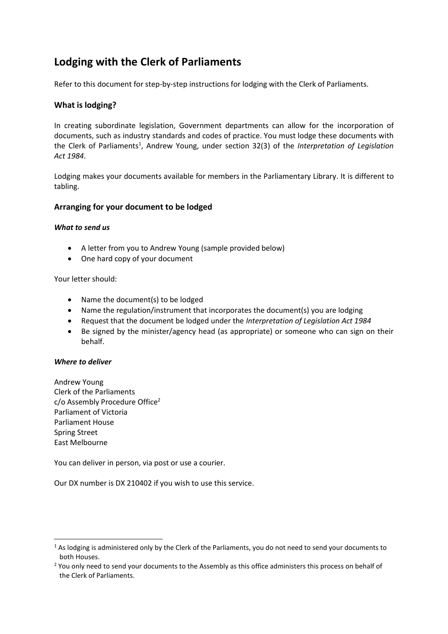# **Lodging with the Clerk of Parliaments**

Refer to this document for step-by-step instructions for lodging with the Clerk of Parliaments.

## **What is lodging?**

In creating subordinate legislation, Government departments can allow for the incorporation of documents, such as industry standards and codes of practice. You must lodge these documents with the Clerk of Parliaments<sup>1</sup>, Andrew Young, under section 32(3) of the *Interpretation of Legislation Act 1984*.

Lodging makes your documents available for members in the Parliamentary Library. It is different to tabling.

## **Arranging for your document to be lodged**

#### *What to send us*

- A letter from you to Andrew Young (sample provided below)
- One hard copy of your document

Your letter should:

- Name the document(s) to be lodged
- Name the regulation/instrument that incorporates the document(s) you are lodging
- Request that the document be lodged under the *Interpretation of Legislation Act 1984*
- Be signed by the minister/agency head (as appropriate) or someone who can sign on their behalf.

#### *Where to deliver*

Andrew Young Clerk of the Parliaments c/o Assembly Procedure Office<sup>2</sup> Parliament of Victoria Parliament House Spring Street East Melbourne

You can deliver in person, via post or use a courier.

Our DX number is DX 210402 if you wish to use this service.

 $1$  As lodging is administered only by the Clerk of the Parliaments, you do not need to send your documents to both Houses.

<sup>&</sup>lt;sup>2</sup> You only need to send your documents to the Assembly as this office administers this process on behalf of the Clerk of Parliaments.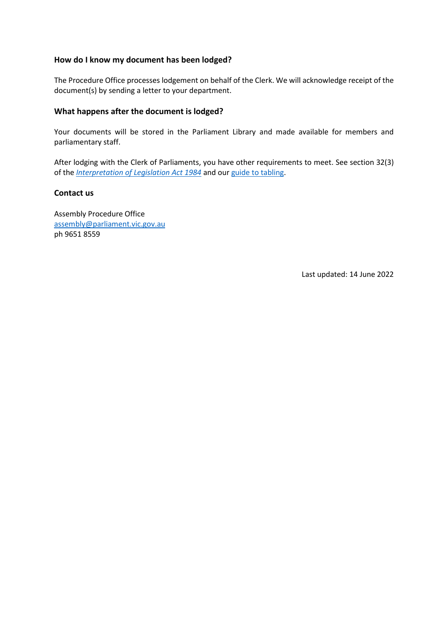## **How do I know my document has been lodged?**

The Procedure Office processes lodgement on behalf of the Clerk. We will acknowledge receipt of the document(s) by sending a letter to your department.

### **What happens after the document is lodged?**

Your documents will be stored in the Parliament Library and made available for members and parliamentary staff.

After lodging with the Clerk of Parliaments, you have other requirements to meet. See section 32(3) of the *[Interpretation of Legislation Act 1984](https://www.legislation.vic.gov.au/in-force/acts/interpretation-legislation-act-1984)* and our [guide to](https://new.parliament.vic.gov.au/contentassets/8cf894ec29e84248bdc8edca161d1308/guide_to_tabling.pdf) tabling.

#### **Contact us**

Assembly Procedure Office [assembly@parliament.vic.gov.au](mailto:assembly@parliament.vic.gov.au) ph 9651 8559

Last updated: 14 June 2022